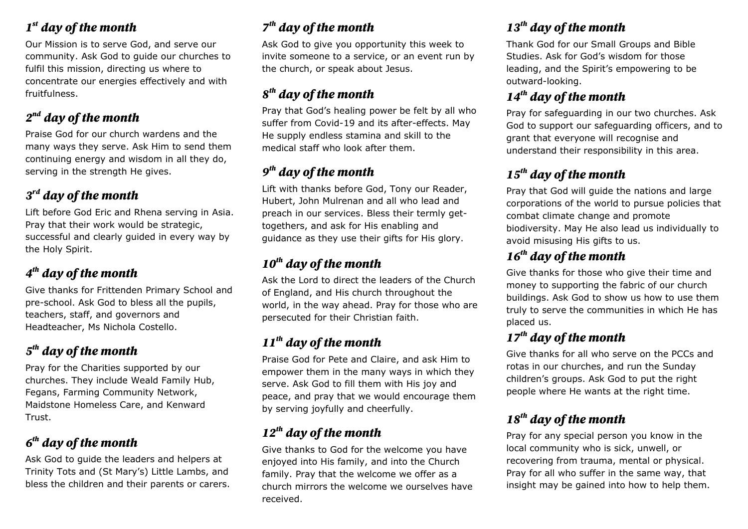# *1 st day of the month*

Our Mission is to serve God, and serve our community. Ask God to guide our churches to fulfil this mission, directing us where to concentrate our energies effectively and with fruitfulness.

# *2 nd day of the month*

Praise God for our church wardens and the many ways they serve. Ask Him to send them continuing energy and wisdom in all they do, serving in the strength He gives.

# *3 rd day of the month*

Lift before God Eric and Rhena serving in Asia. Pray that their work would be strategic, successful and clearly guided in every way by the Holy Spirit.

# *4 th day of the month*

Give thanks for Frittenden Primary School and pre-school. Ask God to bless all the pupils, teachers, staff, and governors and Headteacher, Ms Nichola Costello.

# *5 th day of the month*

Pray for the Charities supported by our churches. They include Weald Family Hub, Fegans, Farming Community Network, Maidstone Homeless Care, and Kenward Trust.

# *6 th day of the month*

Ask God to guide the leaders and helpers at Trinity Tots and (St Mary's) Little Lambs, and bless the children and their parents or carers.

# *7 th day of the month*

Ask God to give you opportunity this week to invite someone to a service, or an event run by the church, or speak about Jesus.

#### *8 th day of the month*

Pray that God's healing power be felt by all who suffer from Covid-19 and its after-effects. May He supply endless stamina and skill to the medical staff who look after them.

#### *9 th day of the month*

Lift with thanks before God, Tony our Reader, Hubert, John Mulrenan and all who lead and preach in our services. Bless their termly gettogethers, and ask for His enabling and guidance as they use their gifts for His glory.

# *10th day of the month*

Ask the Lord to direct the leaders of the Church of England, and His church throughout the world, in the way ahead. Pray for those who are persecuted for their Christian faith.

# *11th day of the month*

Praise God for Pete and Claire, and ask Him to empower them in the many ways in which they serve. Ask God to fill them with His joy and peace, and pray that we would encourage them by serving joyfully and cheerfully.

# *12th day of the month*

Give thanks to God for the welcome you have enjoyed into His family, and into the Church family. Pray that the welcome we offer as a church mirrors the welcome we ourselves have received.

# *13th day of the month*

Thank God for our Small Groups and Bible Studies. Ask for God's wisdom for those leading, and the Spirit's empowering to be outward-looking.

# *14th day of the month*

Pray for safeguarding in our two churches. Ask God to support our safeguarding officers, and to grant that everyone will recognise and understand their responsibility in this area.

# *15th day of the month*

Pray that God will guide the nations and large corporations of the world to pursue policies that combat climate change and promote biodiversity. May He also lead us individually to avoid misusing His gifts to us.

#### *16th day of the month*

Give thanks for those who give their time and money to supporting the fabric of our church buildings. Ask God to show us how to use them truly to serve the communities in which He has placed us.

#### *17th day of the month*

Give thanks for all who serve on the PCCs and rotas in our churches, and run the Sunday children's groups. Ask God to put the right people where He wants at the right time.

#### *18th day of the month*

Pray for any special person you know in the local community who is sick, unwell, or recovering from trauma, mental or physical. Pray for all who suffer in the same way, that insight may be gained into how to help them.